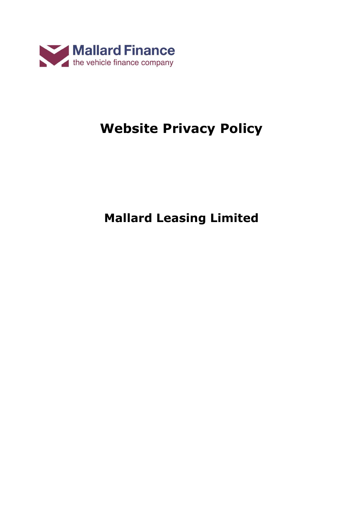

# **Website Privacy Policy**

**Mallard Leasing Limited**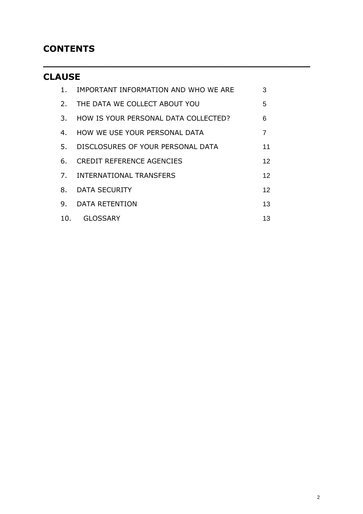# **CONTENTS**

# **CLAUSE**

| 1.      | IMPORTANT INFORMATION AND WHO WE ARE | 3              |
|---------|--------------------------------------|----------------|
| $2_{-}$ | THE DATA WE COLLECT ABOUT YOU        | 5              |
| 3.      | HOW IS YOUR PERSONAL DATA COLLECTED? | 6              |
| 4.      | HOW WE USE YOUR PERSONAL DATA        | $\overline{7}$ |
| 5.      | DISCLOSURES OF YOUR PERSONAL DATA    | 11             |
| 6.      | <b>CREDIT REFERENCE AGENCIES</b>     | $12 \,$        |
| 7.      | INTERNATIONAL TRANSFERS              | $12 \,$        |
| 8.      | DATA SECURITY                        | 12             |
| 9.      | DATA RETENTION                       | 13             |
| 10.     | <b>GLOSSARY</b>                      | 13             |

**\_\_\_\_\_\_\_\_\_\_\_\_\_\_\_\_\_\_\_\_\_\_\_\_\_\_\_\_\_\_\_\_\_\_\_\_\_\_\_\_\_\_\_\_**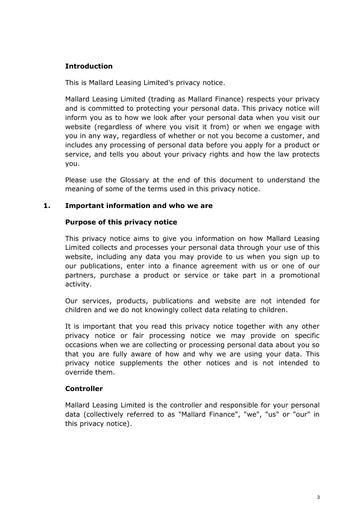# **Introduction**

This is Mallard Leasing Limited's privacy notice.

Mallard Leasing Limited (trading as Mallard Finance) respects your privacy and is committed to protecting your personal data. This privacy notice will inform you as to how we look after your personal data when you visit our website (regardless of where you visit it from) or when we engage with you in any way, regardless of whether or not you become a customer, and includes any processing of personal data before you apply for a product or service, and tells you about your privacy rights and how the law protects you.

Please use the Glossary at the end of this document to understand the meaning of some of the terms used in this privacy notice.

# **1. Important information and who we are**

# <span id="page-2-0"></span>**Purpose of this privacy notice**

This privacy notice aims to give you information on how Mallard Leasing Limited collects and processes your personal data through your use of this website, including any data you may provide to us when you sign up to our publications, enter into a finance agreement with us or one of our partners, purchase a product or service or take part in a promotional activity.

Our services, products, publications and website are not intended for children and we do not knowingly collect data relating to children.

It is important that you read this privacy notice together with any other privacy notice or fair processing notice we may provide on specific occasions when we are collecting or processing personal data about you so that you are fully aware of how and why we are using your data. This privacy notice supplements the other notices and is not intended to override them.

#### **Controller**

Mallard Leasing Limited is the controller and responsible for your personal data (collectively referred to as "Mallard Finance", "we", "us" or "our" in this privacy notice).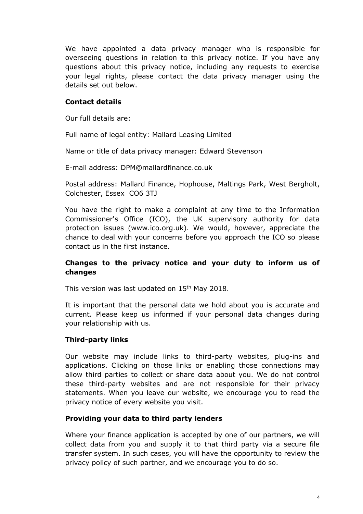We have appointed a data privacy manager who is responsible for overseeing questions in relation to this privacy notice. If you have any questions about this privacy notice, including any requests to exercise your legal rights, please contact the data privacy manager using the details set out below.

## <span id="page-3-0"></span>**Contact details**

Our full details are:

Full name of legal entity: Mallard Leasing Limited

Name or title of data privacy manager: Edward Stevenson

E-mail address: DPM@mallardfinance.co.uk

Postal address: Mallard Finance, Hophouse, Maltings Park, West Bergholt, Colchester, Essex CO6 3TJ

You have the right to make a complaint at any time to the Information Commissioner's Office (ICO), the UK supervisory authority for data protection issues (www.ico.org.uk). We would, however, appreciate the chance to deal with your concerns before you approach the ICO so please contact us in the first instance.

# **Changes to the privacy notice and your duty to inform us of changes**

This version was last updated on 15<sup>th</sup> May 2018.

It is important that the personal data we hold about you is accurate and current. Please keep us informed if your personal data changes during your relationship with us.

#### **Third-party links**

Our website may include links to third-party websites, plug-ins and applications. Clicking on those links or enabling those connections may allow third parties to collect or share data about you. We do not control these third-party websites and are not responsible for their privacy statements. When you leave our website, we encourage you to read the privacy notice of every website you visit.

#### **Providing your data to third party lenders**

Where your finance application is accepted by one of our partners, we will collect data from you and supply it to that third party via a secure file transfer system. In such cases, you will have the opportunity to review the privacy policy of such partner, and we encourage you to do so.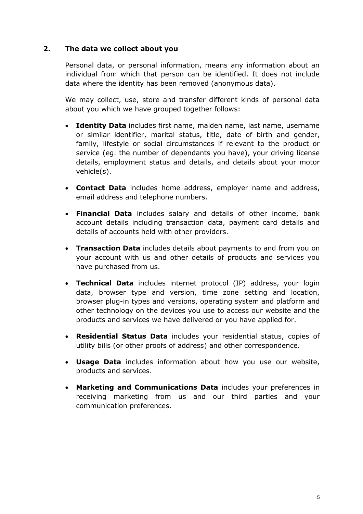## **2. The data we collect about you**

<span id="page-4-0"></span>Personal data, or personal information, means any information about an individual from which that person can be identified. It does not include data where the identity has been removed (anonymous data).

We may collect, use, store and transfer different kinds of personal data about you which we have grouped together follows:

- **Identity Data** includes first name, maiden name, last name, username or similar identifier, marital status, title, date of birth and gender, family, lifestyle or social circumstances if relevant to the product or service (eg. the number of dependants you have), your driving license details, employment status and details, and details about your motor vehicle(s).
- **Contact Data** includes home address, employer name and address, email address and telephone numbers.
- **Financial Data** includes salary and details of other income, bank account details including transaction data, payment card details and details of accounts held with other providers.
- **Transaction Data** includes details about payments to and from you on your account with us and other details of products and services you have purchased from us.
- **Technical Data** includes internet protocol (IP) address, your login data, browser type and version, time zone setting and location, browser plug-in types and versions, operating system and platform and other technology on the devices you use to access our website and the products and services we have delivered or you have applied for.
- **Residential Status Data** includes your residential status, copies of utility bills (or other proofs of address) and other correspondence.
- **Usage Data** includes information about how you use our website, products and services.
- **Marketing and Communications Data** includes your preferences in receiving marketing from us and our third parties and your communication preferences.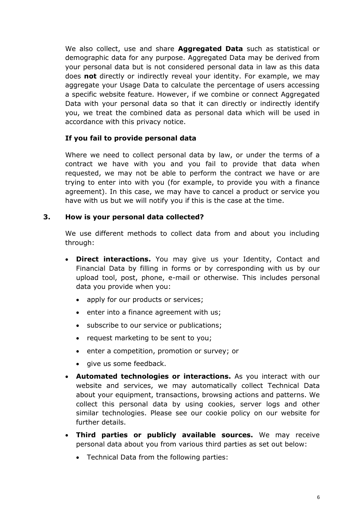We also collect, use and share **Aggregated Data** such as statistical or demographic data for any purpose. Aggregated Data may be derived from your personal data but is not considered personal data in law as this data does **not** directly or indirectly reveal your identity. For example, we may aggregate your Usage Data to calculate the percentage of users accessing a specific website feature. However, if we combine or connect Aggregated Data with your personal data so that it can directly or indirectly identify you, we treat the combined data as personal data which will be used in accordance with this privacy notice.

# **If you fail to provide personal data**

Where we need to collect personal data by law, or under the terms of a contract we have with you and you fail to provide that data when requested, we may not be able to perform the contract we have or are trying to enter into with you (for example, to provide you with a finance agreement). In this case, we may have to cancel a product or service you have with us but we will notify you if this is the case at the time.

#### <span id="page-5-0"></span>**3. How is your personal data collected?**

We use different methods to collect data from and about you including through:

- **Direct interactions.** You may give us your Identity, Contact and Financial Data by filling in forms or by corresponding with us by our upload tool, post, phone, e-mail or otherwise. This includes personal data you provide when you:
	- apply for our products or services;
	- enter into a finance agreement with us;
	- subscribe to our service or publications;
	- request marketing to be sent to you;
	- enter a competition, promotion or survey; or
	- give us some feedback.
- **Automated technologies or interactions.** As you interact with our website and services, we may automatically collect Technical Data about your equipment, transactions, browsing actions and patterns. We collect this personal data by using cookies, server logs and other similar technologies. Please see our cookie policy on our website for further details.
- **Third parties or publicly available sources.** We may receive personal data about you from various third parties as set out below:
	- Technical Data from the following parties: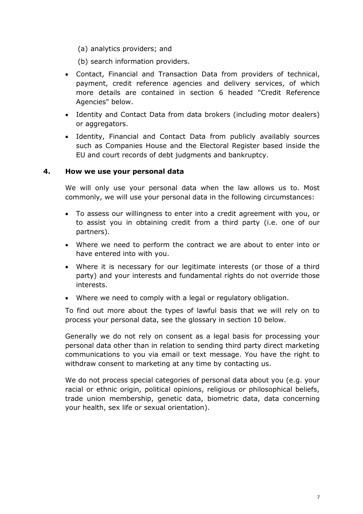- (a) analytics providers; and
- (b) search information providers.
- Contact, Financial and Transaction Data from providers of technical, payment, credit reference agencies and delivery services, of which more details are contained in section 6 headed "Credit Reference Agencies" below.
- Identity and Contact Data from data brokers (including motor dealers) or aggregators.
- Identity, Financial and Contact Data from publicly availably sources such as Companies House and the Electoral Register based inside the EU and court records of debt judgments and bankruptcy.

#### <span id="page-6-0"></span>**4. How we use your personal data**

We will only use your personal data when the law allows us to. Most commonly, we will use your personal data in the following circumstances:

- To assess our willingness to enter into a credit agreement with you, or to assist you in obtaining credit from a third party (i.e. one of our partners).
- Where we need to perform the contract we are about to enter into or have entered into with you.
- Where it is necessary for our legitimate interests (or those of a third party) and your interests and fundamental rights do not override those interests.
- Where we need to comply with a legal or regulatory obligation.

To find out more about the types of lawful basis that we will rely on to process your personal data, see the glossary in section 10 below.

Generally we do not rely on consent as a legal basis for processing your personal data other than in relation to sending third party direct marketing communications to you via email or text message. You have the right to withdraw consent to marketing at any time by [contacting us.](#page-3-0)

We do not process special categories of personal data about you (e.g. your racial or ethnic origin, political opinions, religious or philosophical beliefs, trade union membership, genetic data, biometric data, data concerning your health, sex life or sexual orientation).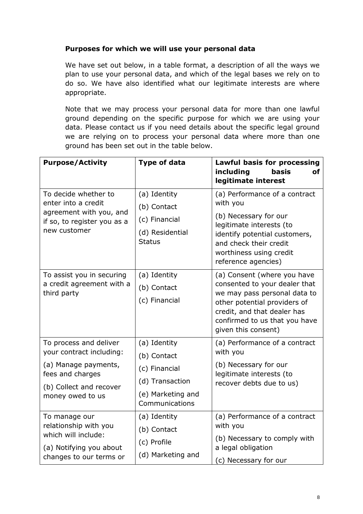# **Purposes for which we will use your personal data**

We have set out below, in a table format, a description of all the ways we plan to use your personal data, and which of the legal bases we rely on to do so. We have also identified what our legitimate interests are where appropriate.

Note that we may process your personal data for more than one lawful ground depending on the specific purpose for which we are using your data. Please [contact us](#page-3-0) if you need details about the specific legal ground we are relying on to process your personal data where more than one ground has been set out in the table below.

| <b>Purpose/Activity</b>                                                                                                                       | <b>Type of data</b>                                                                                    | <b>Lawful basis for processing</b><br>including<br><b>basis</b><br>of<br>legitimate interest                                                                                                                        |
|-----------------------------------------------------------------------------------------------------------------------------------------------|--------------------------------------------------------------------------------------------------------|---------------------------------------------------------------------------------------------------------------------------------------------------------------------------------------------------------------------|
| To decide whether to<br>enter into a credit<br>agreement with you, and<br>if so, to register you as a<br>new customer                         | (a) Identity<br>(b) Contact<br>(c) Financial<br>(d) Residential<br><b>Status</b>                       | (a) Performance of a contract<br>with you<br>(b) Necessary for our<br>legitimate interests (to<br>identify potential customers,<br>and check their credit<br>worthiness using credit<br>reference agencies)         |
| To assist you in securing<br>a credit agreement with a<br>third party                                                                         | (a) Identity<br>(b) Contact<br>(c) Financial                                                           | (a) Consent (where you have<br>consented to your dealer that<br>we may pass personal data to<br>other potential providers of<br>credit, and that dealer has<br>confirmed to us that you have<br>given this consent) |
| To process and deliver<br>your contract including:<br>(a) Manage payments,<br>fees and charges<br>(b) Collect and recover<br>money owed to us | (a) Identity<br>(b) Contact<br>(c) Financial<br>(d) Transaction<br>(e) Marketing and<br>Communications | (a) Performance of a contract<br>with you<br>(b) Necessary for our<br>legitimate interests (to<br>recover debts due to us)                                                                                          |
| To manage our<br>relationship with you<br>which will include:<br>(a) Notifying you about<br>changes to our terms or                           | (a) Identity<br>(b) Contact<br>(c) Profile<br>(d) Marketing and                                        | (a) Performance of a contract<br>with you<br>(b) Necessary to comply with<br>a legal obligation<br>(c) Necessary for our                                                                                            |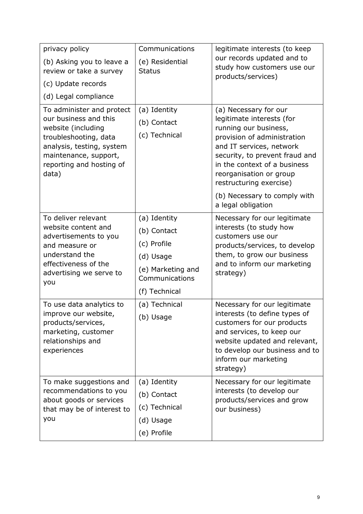| privacy policy                                                                                                                                                                               | Communications                                                                                                  | legitimate interests (to keep                                                                                                                                                                                                                                                                  |  |
|----------------------------------------------------------------------------------------------------------------------------------------------------------------------------------------------|-----------------------------------------------------------------------------------------------------------------|------------------------------------------------------------------------------------------------------------------------------------------------------------------------------------------------------------------------------------------------------------------------------------------------|--|
| (b) Asking you to leave a<br>review or take a survey                                                                                                                                         | (e) Residential<br><b>Status</b>                                                                                | our records updated and to<br>study how customers use our<br>products/services)                                                                                                                                                                                                                |  |
| (c) Update records                                                                                                                                                                           |                                                                                                                 |                                                                                                                                                                                                                                                                                                |  |
| (d) Legal compliance                                                                                                                                                                         |                                                                                                                 |                                                                                                                                                                                                                                                                                                |  |
| To administer and protect<br>our business and this<br>website (including<br>troubleshooting, data<br>analysis, testing, system<br>maintenance, support,<br>reporting and hosting of<br>data) | (a) Identity<br>(b) Contact<br>(c) Technical                                                                    | (a) Necessary for our<br>legitimate interests (for<br>running our business,<br>provision of administration<br>and IT services, network<br>security, to prevent fraud and<br>in the context of a business<br>reorganisation or group<br>restructuring exercise)<br>(b) Necessary to comply with |  |
|                                                                                                                                                                                              |                                                                                                                 | a legal obligation                                                                                                                                                                                                                                                                             |  |
| To deliver relevant<br>website content and<br>advertisements to you<br>and measure or<br>understand the<br>effectiveness of the<br>advertising we serve to<br>you                            | (a) Identity<br>(b) Contact<br>(c) Profile<br>(d) Usage<br>(e) Marketing and<br>Communications<br>(f) Technical | Necessary for our legitimate<br>interests (to study how<br>customers use our<br>products/services, to develop<br>them, to grow our business<br>and to inform our marketing<br>strategy)                                                                                                        |  |
| To use data analytics to<br>improve our website,<br>products/services,<br>marketing, customer<br>relationships and<br>experiences                                                            | (a) Technical<br>(b) Usage                                                                                      | Necessary for our legitimate<br>interests (to define types of<br>customers for our products<br>and services, to keep our<br>website updated and relevant,<br>to develop our business and to<br>inform our marketing<br>strategy)                                                               |  |
| To make suggestions and<br>recommendations to you<br>about goods or services<br>that may be of interest to<br>you                                                                            | (a) Identity<br>(b) Contact<br>(c) Technical<br>(d) Usage<br>(e) Profile                                        | Necessary for our legitimate<br>interests (to develop our<br>products/services and grow<br>our business)                                                                                                                                                                                       |  |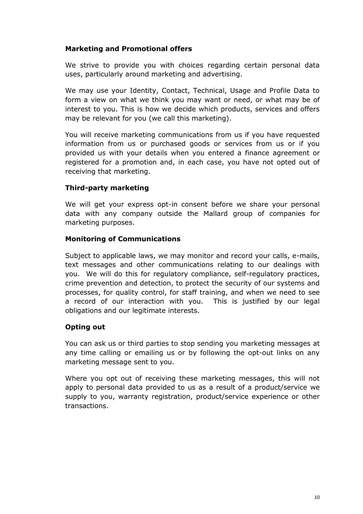# **Marketing and Promotional offers**

We strive to provide you with choices regarding certain personal data uses, particularly around marketing and advertising.

We may use your Identity, Contact, Technical, Usage and Profile Data to form a view on what we think you may want or need, or what may be of interest to you. This is how we decide which products, services and offers may be relevant for you (we call this marketing).

You will receive marketing communications from us if you have requested information from us or purchased goods or services from us or if you provided us with your details when you entered a finance agreement or registered for a promotion and, in each case, you have not opted out of receiving that marketing.

# **Third-party marketing**

We will get your express opt-in consent before we share your personal data with any company outside the Mallard group of companies for marketing purposes.

#### **Monitoring of Communications**

Subject to applicable laws, we may monitor and record your calls, e-mails, text messages and other communications relating to our dealings with you. We will do this for regulatory compliance, self-regulatory practices, crime prevention and detection, to protect the security of our systems and processes, for quality control, for staff training, and when we need to see a record of our interaction with you. This is justified by our legal obligations and our legitimate interests.

# **Opting out**

You can ask us or third parties to stop sending you marketing messages at any time calling or emailing us or by following the opt-out links on any marketing message sent to you.

Where you opt out of receiving these marketing messages, this will not apply to personal data provided to us as a result of a product/service we supply to you, warranty registration, product/service experience or other transactions.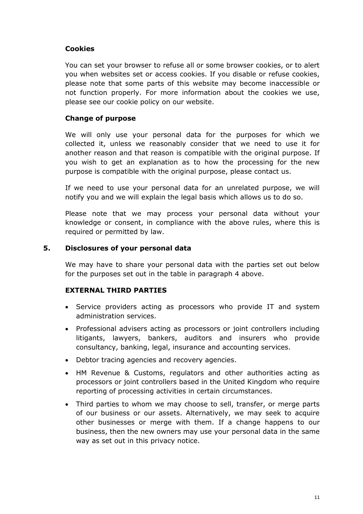# **Cookies**

You can set your browser to refuse all or some browser cookies, or to alert you when websites set or access cookies. If you disable or refuse cookies, please note that some parts of this website may become inaccessible or not function properly. For more information about the cookies we use, please see our cookie policy on our website.

## **Change of purpose**

We will only use your personal data for the purposes for which we collected it, unless we reasonably consider that we need to use it for another reason and that reason is compatible with the original purpose. If you wish to get an explanation as to how the processing for the new purpose is compatible with the original purpose, please [contact us.](#page-3-0)

If we need to use your personal data for an unrelated purpose, we will notify you and we will explain the legal basis which allows us to do so.

Please note that we may process your personal data without your knowledge or consent, in compliance with the above rules, where this is required or permitted by law.

#### **5. Disclosures of your personal data**

<span id="page-10-0"></span>We may have to share your personal data with the parties set out below for the purposes set out in the table in paragraph 4 above.

#### **EXTERNAL THIRD PARTIES**

- Service providers acting as processors who provide IT and system administration services.
- Professional advisers acting as processors or joint controllers including litigants, lawyers, bankers, auditors and insurers who provide consultancy, banking, legal, insurance and accounting services.
- Debtor tracing agencies and recovery agencies.
- HM Revenue & Customs, regulators and other authorities acting as processors or joint controllers based in the United Kingdom who require reporting of processing activities in certain circumstances.
- Third parties to whom we may choose to sell, transfer, or merge parts of our business or our assets. Alternatively, we may seek to acquire other businesses or merge with them. If a change happens to our business, then the new owners may use your personal data in the same way as set out in this privacy notice.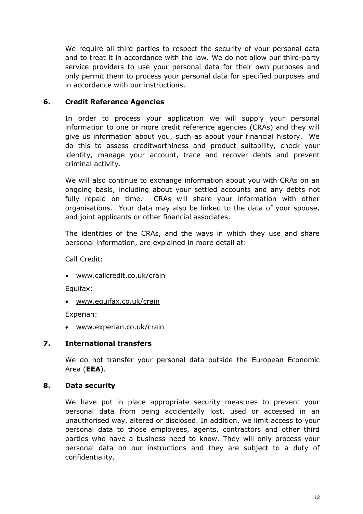We require all third parties to respect the security of your personal data and to treat it in accordance with the law. We do not allow our third-party service providers to use your personal data for their own purposes and only permit them to process your personal data for specified purposes and in accordance with our instructions.

# **6. Credit Reference Agencies**

<span id="page-11-0"></span>In order to process your application we will supply your personal information to one or more credit reference agencies (CRAs) and they will give us information about you, such as about your financial history. We do this to assess creditworthiness and product suitability, check your identity, manage your account, trace and recover debts and prevent criminal activity.

We will also continue to exchange information about you with CRAs on an ongoing basis, including about your settled accounts and any debts not fully repaid on time. CRAs will share your information with other organisations. Your data may also be linked to the data of your spouse, and joint applicants or other financial associates.

The identities of the CRAs, and the ways in which they use and share personal information, are explained in more detail at:

Call Credit:

• [www.callcredit.co.uk/crain](http://www.callcredit.co.uk/crain)

Equifax:

• [www.equifax.co.uk/crain](http://www.equifax.co.uk/crain)

Experian:

<span id="page-11-1"></span>• [www.experian.co.uk/crain](http://www.experian.co.uk/crain)

#### **7. International transfers**

We do not transfer your personal data outside the European Economic Area (**EEA**).

#### **8. Data security**

<span id="page-11-2"></span>We have put in place appropriate security measures to prevent your personal data from being accidentally lost, used or accessed in an unauthorised way, altered or disclosed. In addition, we limit access to your personal data to those employees, agents, contractors and other third parties who have a business need to know. They will only process your personal data on our instructions and they are subject to a duty of confidentiality.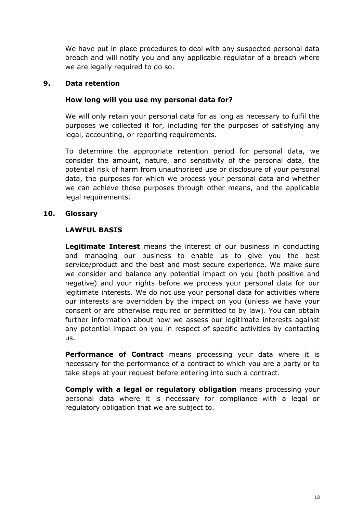We have put in place procedures to deal with any suspected personal data breach and will notify you and any applicable regulator of a breach where we are legally required to do so.

# **9. Data retention**

## <span id="page-12-0"></span>**How long will you use my personal data for?**

We will only retain your personal data for as long as necessary to fulfil the purposes we collected it for, including for the purposes of satisfying any legal, accounting, or reporting requirements.

To determine the appropriate retention period for personal data, we consider the amount, nature, and sensitivity of the personal data, the potential risk of harm from unauthorised use or disclosure of your personal data, the purposes for which we process your personal data and whether we can achieve those purposes through other means, and the applicable legal requirements.

# **10. Glossary**

# <span id="page-12-1"></span>**LAWFUL BASIS**

**Legitimate Interest** means the interest of our business in conducting and managing our business to enable us to give you the best service/product and the best and most secure experience. We make sure we consider and balance any potential impact on you (both positive and negative) and your rights before we process your personal data for our legitimate interests. We do not use your personal data for activities where our interests are overridden by the impact on you (unless we have your consent or are otherwise required or permitted to by law). You can obtain further information about how we assess our legitimate interests against any potential impact on you in respect of specific activities by [contacting](#page-3-0)  [us.](#page-3-0)

**Performance of Contract** means processing your data where it is necessary for the performance of a contract to which you are a party or to take steps at your request before entering into such a contract.

**Comply with a legal or regulatory obligation** means processing your personal data where it is necessary for compliance with a legal or regulatory obligation that we are subject to.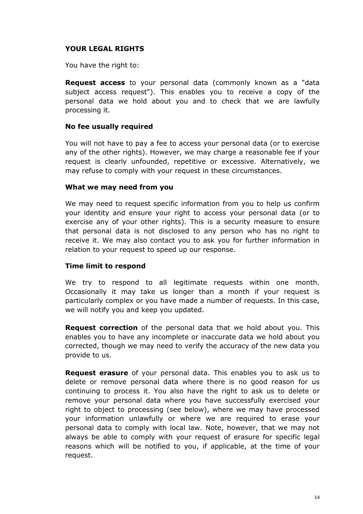# **YOUR LEGAL RIGHTS**

You have the right to:

**Request access** to your personal data (commonly known as a "data subject access request"). This enables you to receive a copy of the personal data we hold about you and to check that we are lawfully processing it.

## **No fee usually required**

You will not have to pay a fee to access your personal data (or to exercise any of the other rights). However, we may charge a reasonable fee if your request is clearly unfounded, repetitive or excessive. Alternatively, we may refuse to comply with your request in these circumstances.

#### **What we may need from you**

We may need to request specific information from you to help us confirm your identity and ensure your right to access your personal data (or to exercise any of your other rights). This is a security measure to ensure that personal data is not disclosed to any person who has no right to receive it. We may also contact you to ask you for further information in relation to your request to speed up our response.

#### **Time limit to respond**

We try to respond to all legitimate requests within one month. Occasionally it may take us longer than a month if your request is particularly complex or you have made a number of requests. In this case, we will notify you and keep you updated.

**Request correction** of the personal data that we hold about you. This enables you to have any incomplete or inaccurate data we hold about you corrected, though we may need to verify the accuracy of the new data you provide to us.

**Request erasure** of your personal data. This enables you to ask us to delete or remove personal data where there is no good reason for us continuing to process it. You also have the right to ask us to delete or remove your personal data where you have successfully exercised your right to object to processing (see below), where we may have processed your information unlawfully or where we are required to erase your personal data to comply with local law. Note, however, that we may not always be able to comply with your request of erasure for specific legal reasons which will be notified to you, if applicable, at the time of your request.